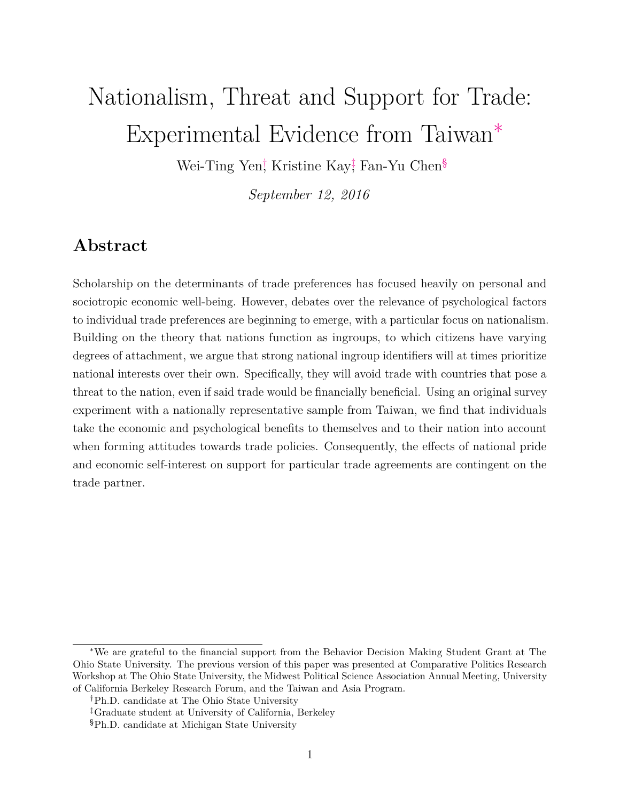# Nationalism, Threat and Support for Trade: Experimental Evidence from Taiwan[∗](#page-0-0)

Wei-Ti[n](#page-0-3)g Yen<sup>†</sup> Kristine Kay<sup>†</sup> Fan-Yu Chen<sup>§</sup>

*September 12, 2016*

### **Abstract**

Scholarship on the determinants of trade preferences has focused heavily on personal and sociotropic economic well-being. However, debates over the relevance of psychological factors to individual trade preferences are beginning to emerge, with a particular focus on nationalism. Building on the theory that nations function as ingroups, to which citizens have varying degrees of attachment, we argue that strong national ingroup identifiers will at times prioritize national interests over their own. Specifically, they will avoid trade with countries that pose a threat to the nation, even if said trade would be financially beneficial. Using an original survey experiment with a nationally representative sample from Taiwan, we find that individuals take the economic and psychological benefits to themselves and to their nation into account when forming attitudes towards trade policies. Consequently, the effects of national pride and economic self-interest on support for particular trade agreements are contingent on the trade partner.

<span id="page-0-0"></span><sup>∗</sup>We are grateful to the financial support from the Behavior Decision Making Student Grant at The Ohio State University. The previous version of this paper was presented at Comparative Politics Research Workshop at The Ohio State University, the Midwest Political Science Association Annual Meeting, University of California Berkeley Research Forum, and the Taiwan and Asia Program.

<span id="page-0-1"></span><sup>†</sup>Ph.D. candidate at The Ohio State University

<span id="page-0-2"></span><sup>‡</sup>Graduate student at University of California, Berkeley

<span id="page-0-3"></span><sup>§</sup>Ph.D. candidate at Michigan State University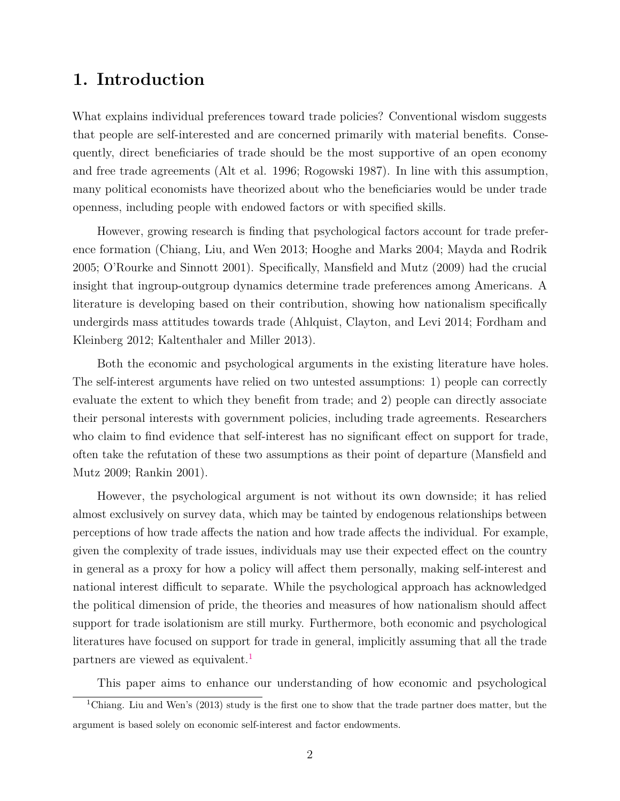## **1. Introduction**

What explains individual preferences toward trade policies? Conventional wisdom suggests that people are self-interested and are concerned primarily with material benefits. Consequently, direct beneficiaries of trade should be the most supportive of an open economy and free trade agreements (Alt et al. 1996; Rogowski 1987). In line with this assumption, many political economists have theorized about who the beneficiaries would be under trade openness, including people with endowed factors or with specified skills.

However, growing research is finding that psychological factors account for trade preference formation (Chiang, Liu, and Wen 2013; Hooghe and Marks 2004; Mayda and Rodrik 2005; O'Rourke and Sinnott 2001). Specifically, Mansfield and Mutz (2009) had the crucial insight that ingroup-outgroup dynamics determine trade preferences among Americans. A literature is developing based on their contribution, showing how nationalism specifically undergirds mass attitudes towards trade (Ahlquist, Clayton, and Levi 2014; Fordham and Kleinberg 2012; Kaltenthaler and Miller 2013).

Both the economic and psychological arguments in the existing literature have holes. The self-interest arguments have relied on two untested assumptions: 1) people can correctly evaluate the extent to which they benefit from trade; and 2) people can directly associate their personal interests with government policies, including trade agreements. Researchers who claim to find evidence that self-interest has no significant effect on support for trade, often take the refutation of these two assumptions as their point of departure (Mansfield and Mutz 2009; Rankin 2001).

However, the psychological argument is not without its own downside; it has relied almost exclusively on survey data, which may be tainted by endogenous relationships between perceptions of how trade affects the nation and how trade affects the individual. For example, given the complexity of trade issues, individuals may use their expected effect on the country in general as a proxy for how a policy will affect them personally, making self-interest and national interest difficult to separate. While the psychological approach has acknowledged the political dimension of pride, the theories and measures of how nationalism should affect support for trade isolationism are still murky. Furthermore, both economic and psychological literatures have focused on support for trade in general, implicitly assuming that all the trade partners are viewed as equivalent.<sup>[1](#page-1-0)</sup>

<span id="page-1-0"></span>This paper aims to enhance our understanding of how economic and psychological

<sup>1</sup>Chiang. Liu and Wen's (2013) study is the first one to show that the trade partner does matter, but the argument is based solely on economic self-interest and factor endowments.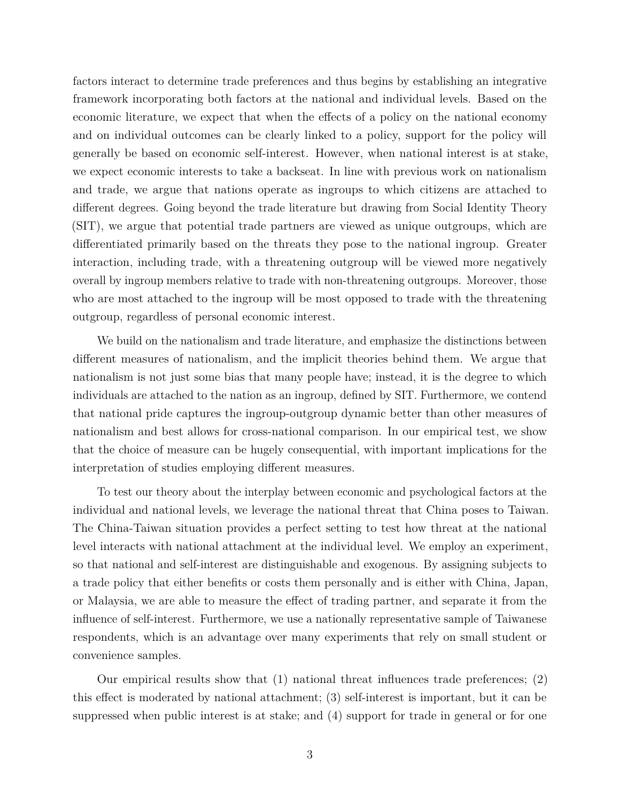factors interact to determine trade preferences and thus begins by establishing an integrative framework incorporating both factors at the national and individual levels. Based on the economic literature, we expect that when the effects of a policy on the national economy and on individual outcomes can be clearly linked to a policy, support for the policy will generally be based on economic self-interest. However, when national interest is at stake, we expect economic interests to take a backseat. In line with previous work on nationalism and trade, we argue that nations operate as ingroups to which citizens are attached to different degrees. Going beyond the trade literature but drawing from Social Identity Theory (SIT), we argue that potential trade partners are viewed as unique outgroups, which are differentiated primarily based on the threats they pose to the national ingroup. Greater interaction, including trade, with a threatening outgroup will be viewed more negatively overall by ingroup members relative to trade with non-threatening outgroups. Moreover, those who are most attached to the ingroup will be most opposed to trade with the threatening outgroup, regardless of personal economic interest.

We build on the nationalism and trade literature, and emphasize the distinctions between different measures of nationalism, and the implicit theories behind them. We argue that nationalism is not just some bias that many people have; instead, it is the degree to which individuals are attached to the nation as an ingroup, defined by SIT. Furthermore, we contend that national pride captures the ingroup-outgroup dynamic better than other measures of nationalism and best allows for cross-national comparison. In our empirical test, we show that the choice of measure can be hugely consequential, with important implications for the interpretation of studies employing different measures.

To test our theory about the interplay between economic and psychological factors at the individual and national levels, we leverage the national threat that China poses to Taiwan. The China-Taiwan situation provides a perfect setting to test how threat at the national level interacts with national attachment at the individual level. We employ an experiment, so that national and self-interest are distinguishable and exogenous. By assigning subjects to a trade policy that either benefits or costs them personally and is either with China, Japan, or Malaysia, we are able to measure the effect of trading partner, and separate it from the influence of self-interest. Furthermore, we use a nationally representative sample of Taiwanese respondents, which is an advantage over many experiments that rely on small student or convenience samples.

Our empirical results show that (1) national threat influences trade preferences; (2) this effect is moderated by national attachment; (3) self-interest is important, but it can be suppressed when public interest is at stake; and (4) support for trade in general or for one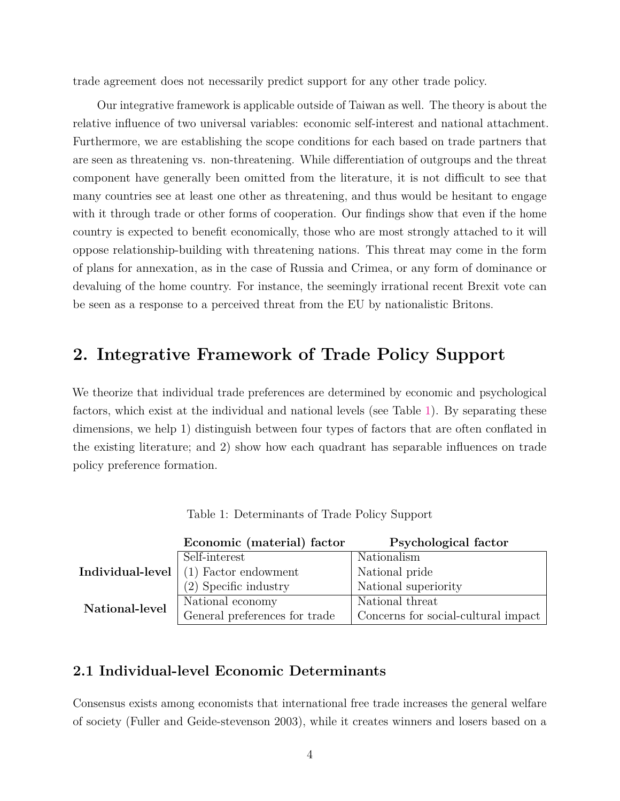trade agreement does not necessarily predict support for any other trade policy.

Our integrative framework is applicable outside of Taiwan as well. The theory is about the relative influence of two universal variables: economic self-interest and national attachment. Furthermore, we are establishing the scope conditions for each based on trade partners that are seen as threatening vs. non-threatening. While differentiation of outgroups and the threat component have generally been omitted from the literature, it is not difficult to see that many countries see at least one other as threatening, and thus would be hesitant to engage with it through trade or other forms of cooperation. Our findings show that even if the home country is expected to benefit economically, those who are most strongly attached to it will oppose relationship-building with threatening nations. This threat may come in the form of plans for annexation, as in the case of Russia and Crimea, or any form of dominance or devaluing of the home country. For instance, the seemingly irrational recent Brexit vote can be seen as a response to a perceived threat from the EU by nationalistic Britons.

## **2. Integrative Framework of Trade Policy Support**

We theorize that individual trade preferences are determined by economic and psychological factors, which exist at the individual and national levels (see Table [1\)](#page-3-0). By separating these dimensions, we help 1) distinguish between four types of factors that are often conflated in the existing literature; and 2) show how each quadrant has separable influences on trade policy preference formation.

|                                                                          | Economic (material) factor    | Psychological factor                |
|--------------------------------------------------------------------------|-------------------------------|-------------------------------------|
|                                                                          | Self-interest                 | Nationalism                         |
| $\operatorname{Indivial}\nolimits$ -level $\operatorname{\mid}\nolimits$ | $(1)$ Factor endowment        | National pride                      |
|                                                                          | $(2)$ Specific industry       | National superiority                |
| National-level                                                           | National economy              | National threat                     |
|                                                                          | General preferences for trade | Concerns for social-cultural impact |

<span id="page-3-0"></span>

| Table 1: Determinants of Trade Policy Support |  |  |
|-----------------------------------------------|--|--|
|                                               |  |  |

#### **2.1 Individual-level Economic Determinants**

Consensus exists among economists that international free trade increases the general welfare of society (Fuller and Geide-stevenson 2003), while it creates winners and losers based on a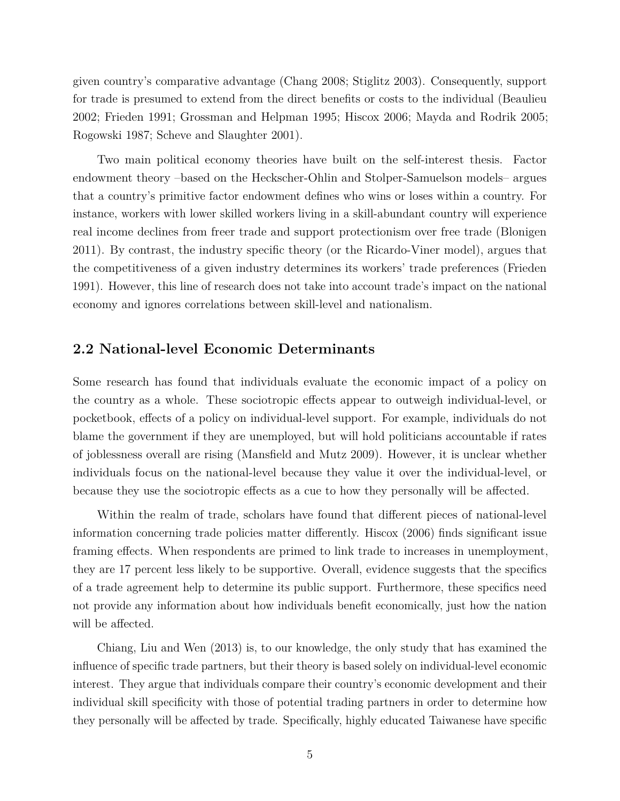given country's comparative advantage (Chang 2008; Stiglitz 2003). Consequently, support for trade is presumed to extend from the direct benefits or costs to the individual (Beaulieu 2002; Frieden 1991; Grossman and Helpman 1995; Hiscox 2006; Mayda and Rodrik 2005; Rogowski 1987; Scheve and Slaughter 2001).

Two main political economy theories have built on the self-interest thesis. Factor endowment theory –based on the Heckscher-Ohlin and Stolper-Samuelson models– argues that a country's primitive factor endowment defines who wins or loses within a country. For instance, workers with lower skilled workers living in a skill-abundant country will experience real income declines from freer trade and support protectionism over free trade (Blonigen 2011). By contrast, the industry specific theory (or the Ricardo-Viner model), argues that the competitiveness of a given industry determines its workers' trade preferences (Frieden 1991). However, this line of research does not take into account trade's impact on the national economy and ignores correlations between skill-level and nationalism.

#### **2.2 National-level Economic Determinants**

Some research has found that individuals evaluate the economic impact of a policy on the country as a whole. These sociotropic effects appear to outweigh individual-level, or pocketbook, effects of a policy on individual-level support. For example, individuals do not blame the government if they are unemployed, but will hold politicians accountable if rates of joblessness overall are rising (Mansfield and Mutz 2009). However, it is unclear whether individuals focus on the national-level because they value it over the individual-level, or because they use the sociotropic effects as a cue to how they personally will be affected.

Within the realm of trade, scholars have found that different pieces of national-level information concerning trade policies matter differently. Hiscox (2006) finds significant issue framing effects. When respondents are primed to link trade to increases in unemployment, they are 17 percent less likely to be supportive. Overall, evidence suggests that the specifics of a trade agreement help to determine its public support. Furthermore, these specifics need not provide any information about how individuals benefit economically, just how the nation will be affected.

Chiang, Liu and Wen (2013) is, to our knowledge, the only study that has examined the influence of specific trade partners, but their theory is based solely on individual-level economic interest. They argue that individuals compare their country's economic development and their individual skill specificity with those of potential trading partners in order to determine how they personally will be affected by trade. Specifically, highly educated Taiwanese have specific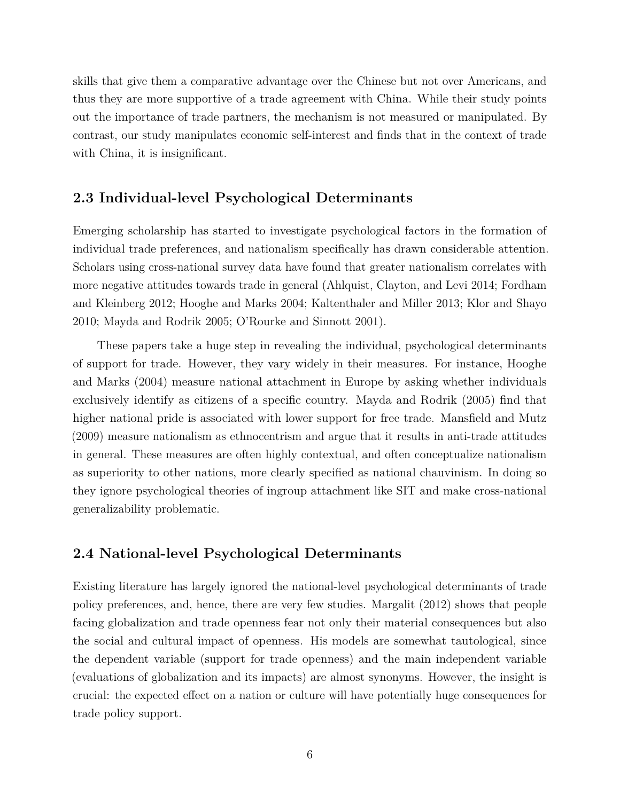skills that give them a comparative advantage over the Chinese but not over Americans, and thus they are more supportive of a trade agreement with China. While their study points out the importance of trade partners, the mechanism is not measured or manipulated. By contrast, our study manipulates economic self-interest and finds that in the context of trade with China, it is insignificant.

#### **2.3 Individual-level Psychological Determinants**

Emerging scholarship has started to investigate psychological factors in the formation of individual trade preferences, and nationalism specifically has drawn considerable attention. Scholars using cross-national survey data have found that greater nationalism correlates with more negative attitudes towards trade in general (Ahlquist, Clayton, and Levi 2014; Fordham and Kleinberg 2012; Hooghe and Marks 2004; Kaltenthaler and Miller 2013; Klor and Shayo 2010; Mayda and Rodrik 2005; O'Rourke and Sinnott 2001).

These papers take a huge step in revealing the individual, psychological determinants of support for trade. However, they vary widely in their measures. For instance, Hooghe and Marks (2004) measure national attachment in Europe by asking whether individuals exclusively identify as citizens of a specific country. Mayda and Rodrik (2005) find that higher national pride is associated with lower support for free trade. Mansfield and Mutz (2009) measure nationalism as ethnocentrism and argue that it results in anti-trade attitudes in general. These measures are often highly contextual, and often conceptualize nationalism as superiority to other nations, more clearly specified as national chauvinism. In doing so they ignore psychological theories of ingroup attachment like SIT and make cross-national generalizability problematic.

#### **2.4 National-level Psychological Determinants**

Existing literature has largely ignored the national-level psychological determinants of trade policy preferences, and, hence, there are very few studies. Margalit (2012) shows that people facing globalization and trade openness fear not only their material consequences but also the social and cultural impact of openness. His models are somewhat tautological, since the dependent variable (support for trade openness) and the main independent variable (evaluations of globalization and its impacts) are almost synonyms. However, the insight is crucial: the expected effect on a nation or culture will have potentially huge consequences for trade policy support.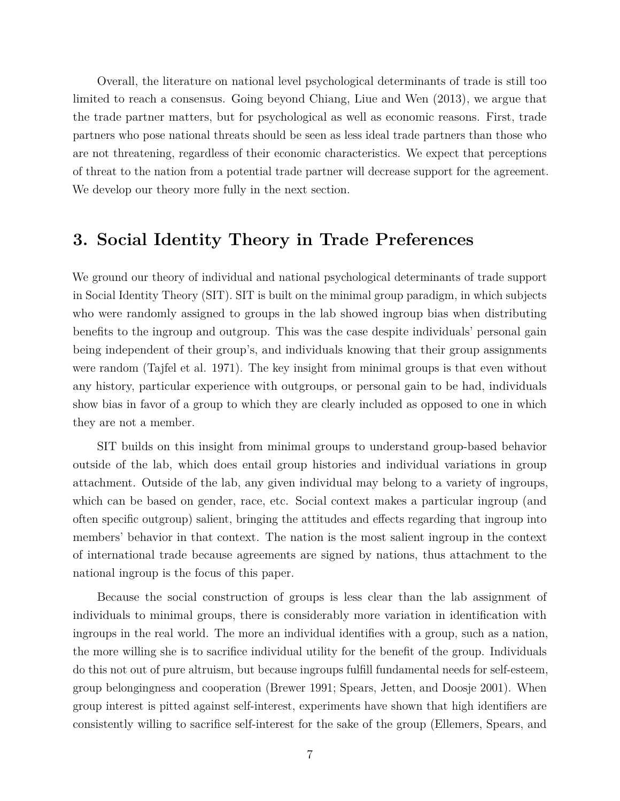Overall, the literature on national level psychological determinants of trade is still too limited to reach a consensus. Going beyond Chiang, Liue and Wen (2013), we argue that the trade partner matters, but for psychological as well as economic reasons. First, trade partners who pose national threats should be seen as less ideal trade partners than those who are not threatening, regardless of their economic characteristics. We expect that perceptions of threat to the nation from a potential trade partner will decrease support for the agreement. We develop our theory more fully in the next section.

### **3. Social Identity Theory in Trade Preferences**

We ground our theory of individual and national psychological determinants of trade support in Social Identity Theory (SIT). SIT is built on the minimal group paradigm, in which subjects who were randomly assigned to groups in the lab showed ingroup bias when distributing benefits to the ingroup and outgroup. This was the case despite individuals' personal gain being independent of their group's, and individuals knowing that their group assignments were random (Tajfel et al. 1971). The key insight from minimal groups is that even without any history, particular experience with outgroups, or personal gain to be had, individuals show bias in favor of a group to which they are clearly included as opposed to one in which they are not a member.

SIT builds on this insight from minimal groups to understand group-based behavior outside of the lab, which does entail group histories and individual variations in group attachment. Outside of the lab, any given individual may belong to a variety of ingroups, which can be based on gender, race, etc. Social context makes a particular ingroup (and often specific outgroup) salient, bringing the attitudes and effects regarding that ingroup into members' behavior in that context. The nation is the most salient ingroup in the context of international trade because agreements are signed by nations, thus attachment to the national ingroup is the focus of this paper.

Because the social construction of groups is less clear than the lab assignment of individuals to minimal groups, there is considerably more variation in identification with ingroups in the real world. The more an individual identifies with a group, such as a nation, the more willing she is to sacrifice individual utility for the benefit of the group. Individuals do this not out of pure altruism, but because ingroups fulfill fundamental needs for self-esteem, group belongingness and cooperation (Brewer 1991; Spears, Jetten, and Doosje 2001). When group interest is pitted against self-interest, experiments have shown that high identifiers are consistently willing to sacrifice self-interest for the sake of the group (Ellemers, Spears, and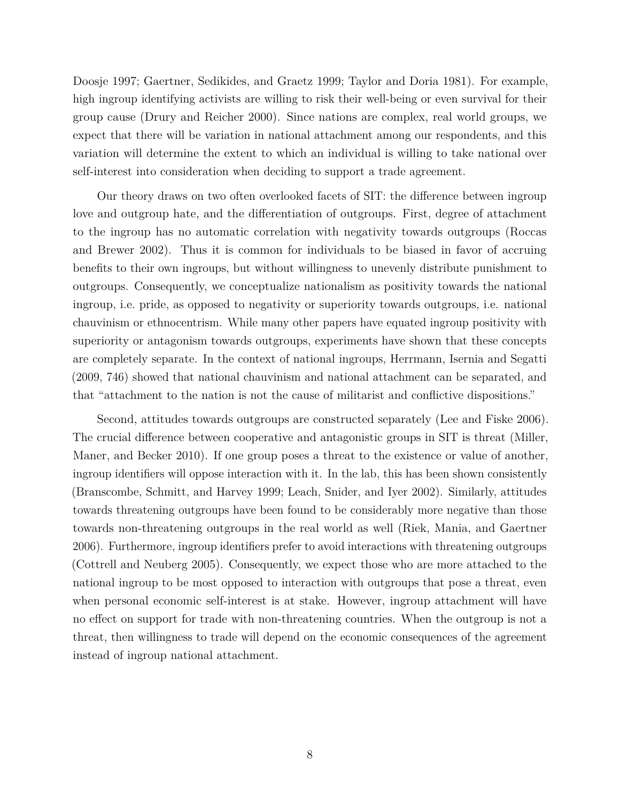Doosje 1997; Gaertner, Sedikides, and Graetz 1999; Taylor and Doria 1981). For example, high ingroup identifying activists are willing to risk their well-being or even survival for their group cause (Drury and Reicher 2000). Since nations are complex, real world groups, we expect that there will be variation in national attachment among our respondents, and this variation will determine the extent to which an individual is willing to take national over self-interest into consideration when deciding to support a trade agreement.

Our theory draws on two often overlooked facets of SIT: the difference between ingroup love and outgroup hate, and the differentiation of outgroups. First, degree of attachment to the ingroup has no automatic correlation with negativity towards outgroups (Roccas and Brewer 2002). Thus it is common for individuals to be biased in favor of accruing benefits to their own ingroups, but without willingness to unevenly distribute punishment to outgroups. Consequently, we conceptualize nationalism as positivity towards the national ingroup, i.e. pride, as opposed to negativity or superiority towards outgroups, i.e. national chauvinism or ethnocentrism. While many other papers have equated ingroup positivity with superiority or antagonism towards outgroups, experiments have shown that these concepts are completely separate. In the context of national ingroups, Herrmann, Isernia and Segatti (2009, 746) showed that national chauvinism and national attachment can be separated, and that "attachment to the nation is not the cause of militarist and conflictive dispositions."

Second, attitudes towards outgroups are constructed separately (Lee and Fiske 2006). The crucial difference between cooperative and antagonistic groups in SIT is threat (Miller, Maner, and Becker 2010). If one group poses a threat to the existence or value of another, ingroup identifiers will oppose interaction with it. In the lab, this has been shown consistently (Branscombe, Schmitt, and Harvey 1999; Leach, Snider, and Iyer 2002). Similarly, attitudes towards threatening outgroups have been found to be considerably more negative than those towards non-threatening outgroups in the real world as well (Riek, Mania, and Gaertner 2006). Furthermore, ingroup identifiers prefer to avoid interactions with threatening outgroups (Cottrell and Neuberg 2005). Consequently, we expect those who are more attached to the national ingroup to be most opposed to interaction with outgroups that pose a threat, even when personal economic self-interest is at stake. However, ingroup attachment will have no effect on support for trade with non-threatening countries. When the outgroup is not a threat, then willingness to trade will depend on the economic consequences of the agreement instead of ingroup national attachment.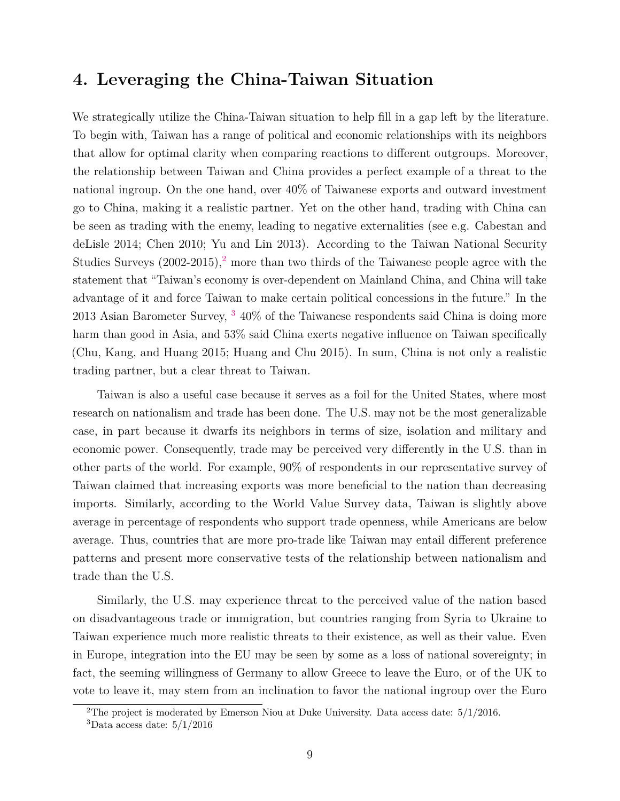#### **4. Leveraging the China-Taiwan Situation**

We strategically utilize the China-Taiwan situation to help fill in a gap left by the literature. To begin with, Taiwan has a range of political and economic relationships with its neighbors that allow for optimal clarity when comparing reactions to different outgroups. Moreover, the relationship between Taiwan and China provides a perfect example of a threat to the national ingroup. On the one hand, over 40% of Taiwanese exports and outward investment go to China, making it a realistic partner. Yet on the other hand, trading with China can be seen as trading with the enemy, leading to negative externalities (see e.g. Cabestan and deLisle 2014; Chen 2010; Yu and Lin 2013). According to the Taiwan National Security Studies Surveys  $(2002-2015)$  $(2002-2015)$  $(2002-2015)$ ,<sup>2</sup> more than two thirds of the Taiwanese people agree with the statement that "Taiwan's economy is over-dependent on Mainland China, and China will take advantage of it and force Taiwan to make certain political concessions in the future." In the 201[3](#page-8-1) Asian Barometer Survey,  $3\,40\%$  of the Taiwanese respondents said China is doing more harm than good in Asia, and 53% said China exerts negative influence on Taiwan specifically (Chu, Kang, and Huang 2015; Huang and Chu 2015). In sum, China is not only a realistic trading partner, but a clear threat to Taiwan.

Taiwan is also a useful case because it serves as a foil for the United States, where most research on nationalism and trade has been done. The U.S. may not be the most generalizable case, in part because it dwarfs its neighbors in terms of size, isolation and military and economic power. Consequently, trade may be perceived very differently in the U.S. than in other parts of the world. For example, 90% of respondents in our representative survey of Taiwan claimed that increasing exports was more beneficial to the nation than decreasing imports. Similarly, according to the World Value Survey data, Taiwan is slightly above average in percentage of respondents who support trade openness, while Americans are below average. Thus, countries that are more pro-trade like Taiwan may entail different preference patterns and present more conservative tests of the relationship between nationalism and trade than the U.S.

Similarly, the U.S. may experience threat to the perceived value of the nation based on disadvantageous trade or immigration, but countries ranging from Syria to Ukraine to Taiwan experience much more realistic threats to their existence, as well as their value. Even in Europe, integration into the EU may be seen by some as a loss of national sovereignty; in fact, the seeming willingness of Germany to allow Greece to leave the Euro, or of the UK to vote to leave it, may stem from an inclination to favor the national ingroup over the Euro

<span id="page-8-0"></span><sup>&</sup>lt;sup>2</sup>The project is moderated by Emerson Niou at Duke University. Data access date:  $5/1/2016$ .

<span id="page-8-1"></span><sup>&</sup>lt;sup>3</sup>Data access date:  $5/1/2016$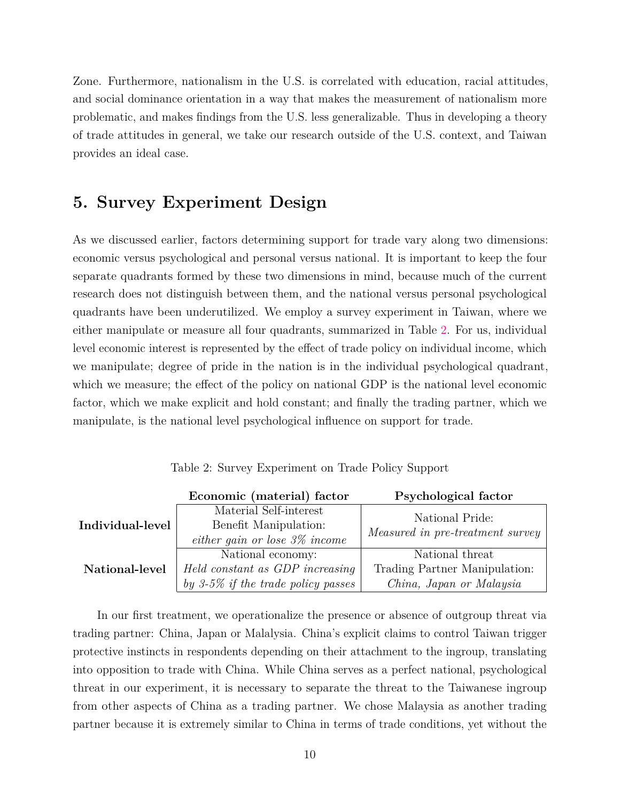Zone. Furthermore, nationalism in the U.S. is correlated with education, racial attitudes, and social dominance orientation in a way that makes the measurement of nationalism more problematic, and makes findings from the U.S. less generalizable. Thus in developing a theory of trade attitudes in general, we take our research outside of the U.S. context, and Taiwan provides an ideal case.

#### **5. Survey Experiment Design**

As we discussed earlier, factors determining support for trade vary along two dimensions: economic versus psychological and personal versus national. It is important to keep the four separate quadrants formed by these two dimensions in mind, because much of the current research does not distinguish between them, and the national versus personal psychological quadrants have been underutilized. We employ a survey experiment in Taiwan, where we either manipulate or measure all four quadrants, summarized in Table [2.](#page-9-0) For us, individual level economic interest is represented by the effect of trade policy on individual income, which we manipulate; degree of pride in the nation is in the individual psychological quadrant, which we measure; the effect of the policy on national GDP is the national level economic factor, which we make explicit and hold constant; and finally the trading partner, which we manipulate, is the national level psychological influence on support for trade.

|                  | Economic (material) factor         | Psychological factor             |
|------------------|------------------------------------|----------------------------------|
|                  | Material Self-interest             | National Pride:                  |
| Individual-level | Benefit Manipulation:              | Measured in pre-treatment survey |
|                  | either gain or lose $3\%$ income   |                                  |
|                  | National economy:                  | National threat                  |
| National-level   | Held constant as GDP increasing    | Trading Partner Manipulation:    |
|                  | by 3-5% if the trade policy passes | China, Japan or Malaysia         |

<span id="page-9-0"></span>Table 2: Survey Experiment on Trade Policy Support

In our first treatment, we operationalize the presence or absence of outgroup threat via trading partner: China, Japan or Malalysia. China's explicit claims to control Taiwan trigger protective instincts in respondents depending on their attachment to the ingroup, translating into opposition to trade with China. While China serves as a perfect national, psychological threat in our experiment, it is necessary to separate the threat to the Taiwanese ingroup from other aspects of China as a trading partner. We chose Malaysia as another trading partner because it is extremely similar to China in terms of trade conditions, yet without the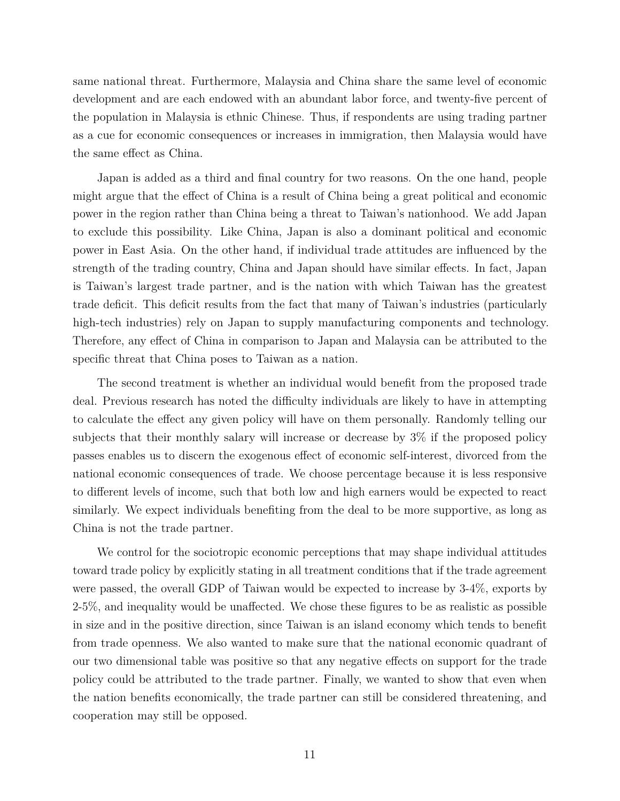same national threat. Furthermore, Malaysia and China share the same level of economic development and are each endowed with an abundant labor force, and twenty-five percent of the population in Malaysia is ethnic Chinese. Thus, if respondents are using trading partner as a cue for economic consequences or increases in immigration, then Malaysia would have the same effect as China.

Japan is added as a third and final country for two reasons. On the one hand, people might argue that the effect of China is a result of China being a great political and economic power in the region rather than China being a threat to Taiwan's nationhood. We add Japan to exclude this possibility. Like China, Japan is also a dominant political and economic power in East Asia. On the other hand, if individual trade attitudes are influenced by the strength of the trading country, China and Japan should have similar effects. In fact, Japan is Taiwan's largest trade partner, and is the nation with which Taiwan has the greatest trade deficit. This deficit results from the fact that many of Taiwan's industries (particularly high-tech industries) rely on Japan to supply manufacturing components and technology. Therefore, any effect of China in comparison to Japan and Malaysia can be attributed to the specific threat that China poses to Taiwan as a nation.

The second treatment is whether an individual would benefit from the proposed trade deal. Previous research has noted the difficulty individuals are likely to have in attempting to calculate the effect any given policy will have on them personally. Randomly telling our subjects that their monthly salary will increase or decrease by 3% if the proposed policy passes enables us to discern the exogenous effect of economic self-interest, divorced from the national economic consequences of trade. We choose percentage because it is less responsive to different levels of income, such that both low and high earners would be expected to react similarly. We expect individuals benefiting from the deal to be more supportive, as long as China is not the trade partner.

We control for the sociotropic economic perceptions that may shape individual attitudes toward trade policy by explicitly stating in all treatment conditions that if the trade agreement were passed, the overall GDP of Taiwan would be expected to increase by 3-4%, exports by 2-5%, and inequality would be unaffected. We chose these figures to be as realistic as possible in size and in the positive direction, since Taiwan is an island economy which tends to benefit from trade openness. We also wanted to make sure that the national economic quadrant of our two dimensional table was positive so that any negative effects on support for the trade policy could be attributed to the trade partner. Finally, we wanted to show that even when the nation benefits economically, the trade partner can still be considered threatening, and cooperation may still be opposed.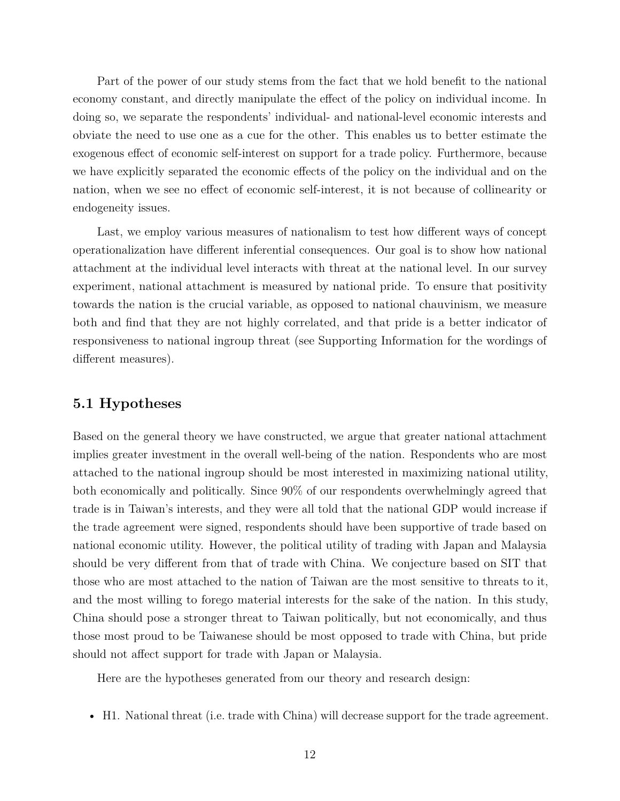Part of the power of our study stems from the fact that we hold benefit to the national economy constant, and directly manipulate the effect of the policy on individual income. In doing so, we separate the respondents' individual- and national-level economic interests and obviate the need to use one as a cue for the other. This enables us to better estimate the exogenous effect of economic self-interest on support for a trade policy. Furthermore, because we have explicitly separated the economic effects of the policy on the individual and on the nation, when we see no effect of economic self-interest, it is not because of collinearity or endogeneity issues.

Last, we employ various measures of nationalism to test how different ways of concept operationalization have different inferential consequences. Our goal is to show how national attachment at the individual level interacts with threat at the national level. In our survey experiment, national attachment is measured by national pride. To ensure that positivity towards the nation is the crucial variable, as opposed to national chauvinism, we measure both and find that they are not highly correlated, and that pride is a better indicator of responsiveness to national ingroup threat (see Supporting Information for the wordings of different measures).

#### **5.1 Hypotheses**

Based on the general theory we have constructed, we argue that greater national attachment implies greater investment in the overall well-being of the nation. Respondents who are most attached to the national ingroup should be most interested in maximizing national utility, both economically and politically. Since 90% of our respondents overwhelmingly agreed that trade is in Taiwan's interests, and they were all told that the national GDP would increase if the trade agreement were signed, respondents should have been supportive of trade based on national economic utility. However, the political utility of trading with Japan and Malaysia should be very different from that of trade with China. We conjecture based on SIT that those who are most attached to the nation of Taiwan are the most sensitive to threats to it, and the most willing to forego material interests for the sake of the nation. In this study, China should pose a stronger threat to Taiwan politically, but not economically, and thus those most proud to be Taiwanese should be most opposed to trade with China, but pride should not affect support for trade with Japan or Malaysia.

Here are the hypotheses generated from our theory and research design:

• H1. National threat (i.e. trade with China) will decrease support for the trade agreement.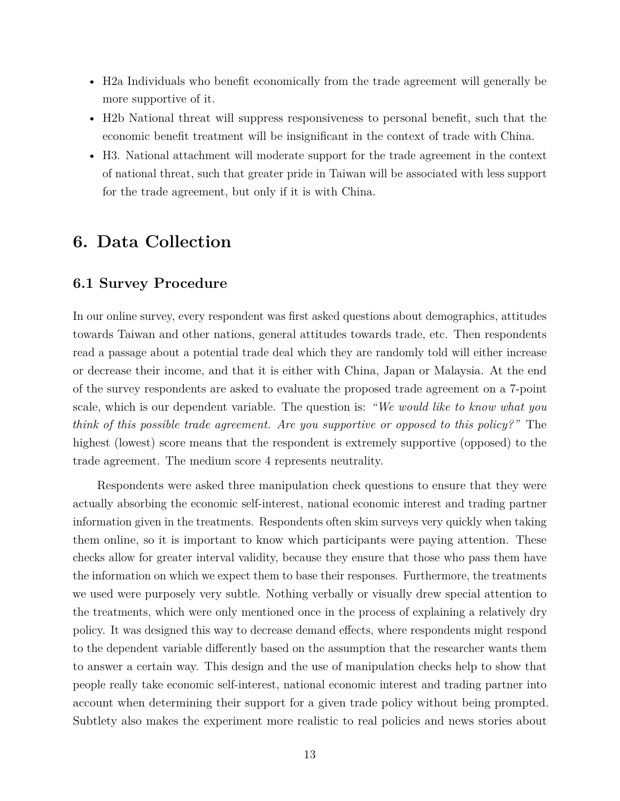- H2a Individuals who benefit economically from the trade agreement will generally be more supportive of it.
- H2b National threat will suppress responsiveness to personal benefit, such that the economic benefit treatment will be insignificant in the context of trade with China.
- H3. National attachment will moderate support for the trade agreement in the context of national threat, such that greater pride in Taiwan will be associated with less support for the trade agreement, but only if it is with China.

## **6. Data Collection**

#### **6.1 Survey Procedure**

In our online survey, every respondent was first asked questions about demographics, attitudes towards Taiwan and other nations, general attitudes towards trade, etc. Then respondents read a passage about a potential trade deal which they are randomly told will either increase or decrease their income, and that it is either with China, Japan or Malaysia. At the end of the survey respondents are asked to evaluate the proposed trade agreement on a 7-point scale, which is our dependent variable. The question is: *"We would like to know what you think of this possible trade agreement. Are you supportive or opposed to this policy?"* The highest (lowest) score means that the respondent is extremely supportive (opposed) to the trade agreement. The medium score 4 represents neutrality.

Respondents were asked three manipulation check questions to ensure that they were actually absorbing the economic self-interest, national economic interest and trading partner information given in the treatments. Respondents often skim surveys very quickly when taking them online, so it is important to know which participants were paying attention. These checks allow for greater interval validity, because they ensure that those who pass them have the information on which we expect them to base their responses. Furthermore, the treatments we used were purposely very subtle. Nothing verbally or visually drew special attention to the treatments, which were only mentioned once in the process of explaining a relatively dry policy. It was designed this way to decrease demand effects, where respondents might respond to the dependent variable differently based on the assumption that the researcher wants them to answer a certain way. This design and the use of manipulation checks help to show that people really take economic self-interest, national economic interest and trading partner into account when determining their support for a given trade policy without being prompted. Subtlety also makes the experiment more realistic to real policies and news stories about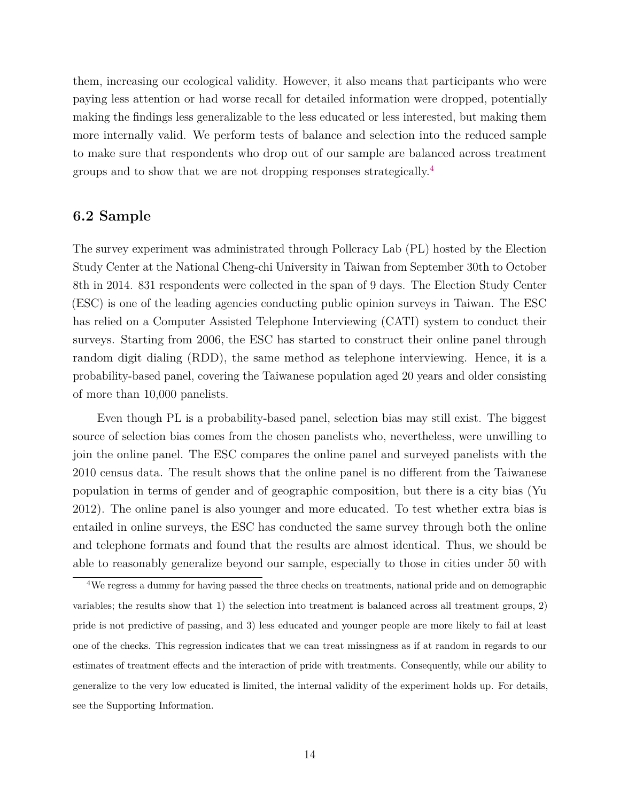them, increasing our ecological validity. However, it also means that participants who were paying less attention or had worse recall for detailed information were dropped, potentially making the findings less generalizable to the less educated or less interested, but making them more internally valid. We perform tests of balance and selection into the reduced sample to make sure that respondents who drop out of our sample are balanced across treatment groups and to show that we are not dropping responses strategically.[4](#page-13-0)

#### **6.2 Sample**

The survey experiment was administrated through Pollcracy Lab (PL) hosted by the Election Study Center at the National Cheng-chi University in Taiwan from September 30th to October 8th in 2014. 831 respondents were collected in the span of 9 days. The Election Study Center (ESC) is one of the leading agencies conducting public opinion surveys in Taiwan. The ESC has relied on a Computer Assisted Telephone Interviewing (CATI) system to conduct their surveys. Starting from 2006, the ESC has started to construct their online panel through random digit dialing (RDD), the same method as telephone interviewing. Hence, it is a probability-based panel, covering the Taiwanese population aged 20 years and older consisting of more than 10,000 panelists.

Even though PL is a probability-based panel, selection bias may still exist. The biggest source of selection bias comes from the chosen panelists who, nevertheless, were unwilling to join the online panel. The ESC compares the online panel and surveyed panelists with the 2010 census data. The result shows that the online panel is no different from the Taiwanese population in terms of gender and of geographic composition, but there is a city bias (Yu 2012). The online panel is also younger and more educated. To test whether extra bias is entailed in online surveys, the ESC has conducted the same survey through both the online and telephone formats and found that the results are almost identical. Thus, we should be able to reasonably generalize beyond our sample, especially to those in cities under 50 with

<span id="page-13-0"></span><sup>4</sup>We regress a dummy for having passed the three checks on treatments, national pride and on demographic variables; the results show that 1) the selection into treatment is balanced across all treatment groups, 2) pride is not predictive of passing, and 3) less educated and younger people are more likely to fail at least one of the checks. This regression indicates that we can treat missingness as if at random in regards to our estimates of treatment effects and the interaction of pride with treatments. Consequently, while our ability to generalize to the very low educated is limited, the internal validity of the experiment holds up. For details, see the Supporting Information.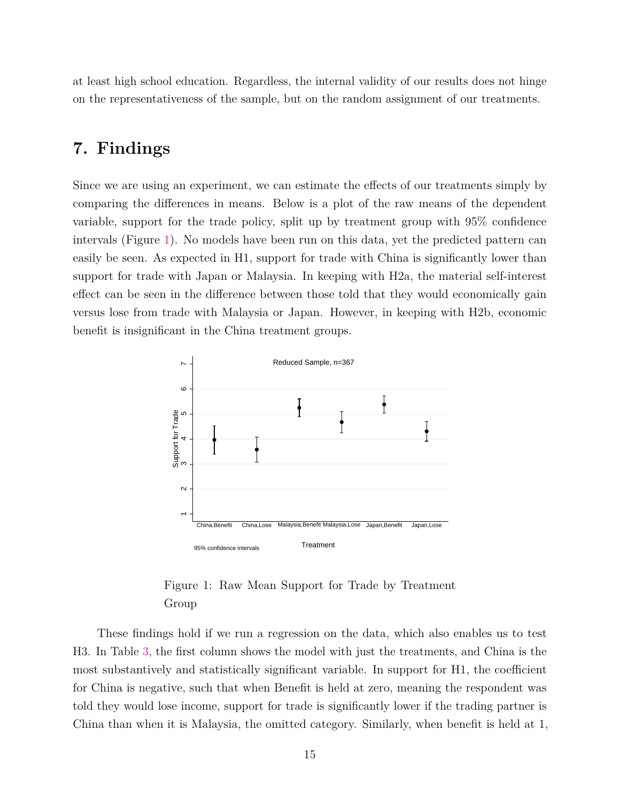at least high school education. Regardless, the internal validity of our results does not hinge on the representativeness of the sample, but on the random assignment of our treatments.

## **7. Findings**

Since we are using an experiment, we can estimate the effects of our treatments simply by comparing the differences in means. Below is a plot of the raw means of the dependent variable, support for the trade policy, split up by treatment group with 95% confidence intervals (Figure [1\)](#page-14-0). No models have been run on this data, yet the predicted pattern can easily be seen. As expected in H1, support for trade with China is significantly lower than support for trade with Japan or Malaysia. In keeping with H2a, the material self-interest effect can be seen in the difference between those told that they would economically gain versus lose from trade with Malaysia or Japan. However, in keeping with H2b, economic benefit is insignificant in the China treatment groups.



<span id="page-14-0"></span>Figure 1: Raw Mean Support for Trade by Treatment Group

These findings hold if we run a regression on the data, which also enables us to test H3. In Table [3,](#page-15-0) the first column shows the model with just the treatments, and China is the most substantively and statistically significant variable. In support for H1, the coefficient for China is negative, such that when Benefit is held at zero, meaning the respondent was told they would lose income, support for trade is significantly lower if the trading partner is China than when it is Malaysia, the omitted category. Similarly, when benefit is held at 1,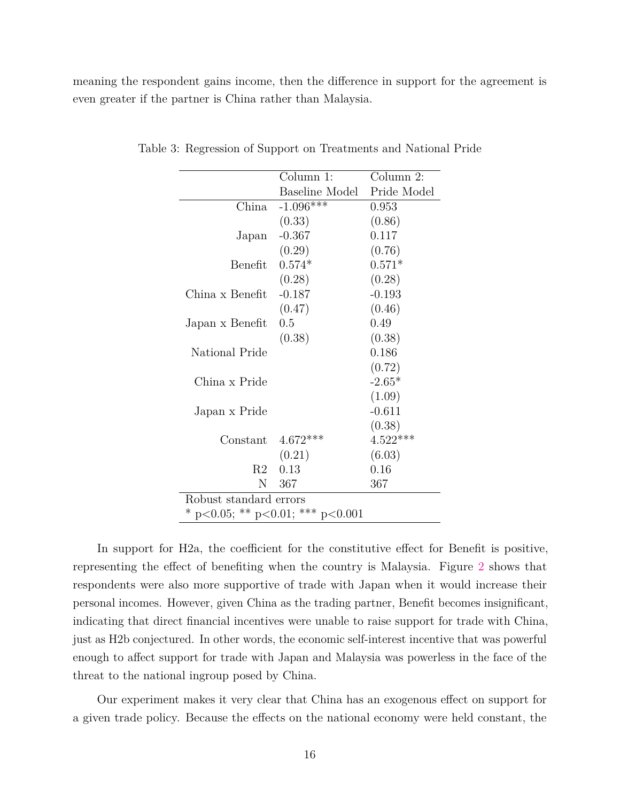meaning the respondent gains income, then the difference in support for the agreement is even greater if the partner is China rather than Malaysia.

<span id="page-15-0"></span>

|                                  | Column 1:             | Column 2:   |  |
|----------------------------------|-----------------------|-------------|--|
|                                  | <b>Baseline Model</b> | Pride Model |  |
| China                            | $-1.096***$           | 0.953       |  |
|                                  | (0.33)                | (0.86)      |  |
| Japan                            | $-0.367$              | 0.117       |  |
|                                  | (0.29)                | (0.76)      |  |
| Benefit                          | $0.574*$              | $0.571*$    |  |
|                                  | (0.28)                | (0.28)      |  |
| China x Benefit                  | $-0.187$              | $-0.193$    |  |
|                                  | (0.47)                | (0.46)      |  |
| Japan x Benefit                  | 0.5                   | 0.49        |  |
|                                  | (0.38)                | (0.38)      |  |
| National Pride                   |                       | 0.186       |  |
|                                  |                       | (0.72)      |  |
| China x Pride                    |                       | $-2.65*$    |  |
|                                  |                       | (1.09)      |  |
| Japan x Pride                    |                       | $-0.611$    |  |
|                                  |                       | (0.38)      |  |
| Constant                         | $4.672***$            | $4.522***$  |  |
|                                  | (0.21)                | (6.03)      |  |
| R2                               | 0.13                  | 0.16        |  |
| N.                               | 367                   | 367         |  |
| Robust standard errors           |                       |             |  |
| * p<0.05; ** p<0.01; *** p<0.001 |                       |             |  |

Table 3: Regression of Support on Treatments and National Pride

In support for H2a, the coefficient for the constitutive effect for Benefit is positive, representing the effect of benefiting when the country is Malaysia. Figure [2](#page-16-0) shows that respondents were also more supportive of trade with Japan when it would increase their personal incomes. However, given China as the trading partner, Benefit becomes insignificant, indicating that direct financial incentives were unable to raise support for trade with China, just as H2b conjectured. In other words, the economic self-interest incentive that was powerful enough to affect support for trade with Japan and Malaysia was powerless in the face of the threat to the national ingroup posed by China.

Our experiment makes it very clear that China has an exogenous effect on support for a given trade policy. Because the effects on the national economy were held constant, the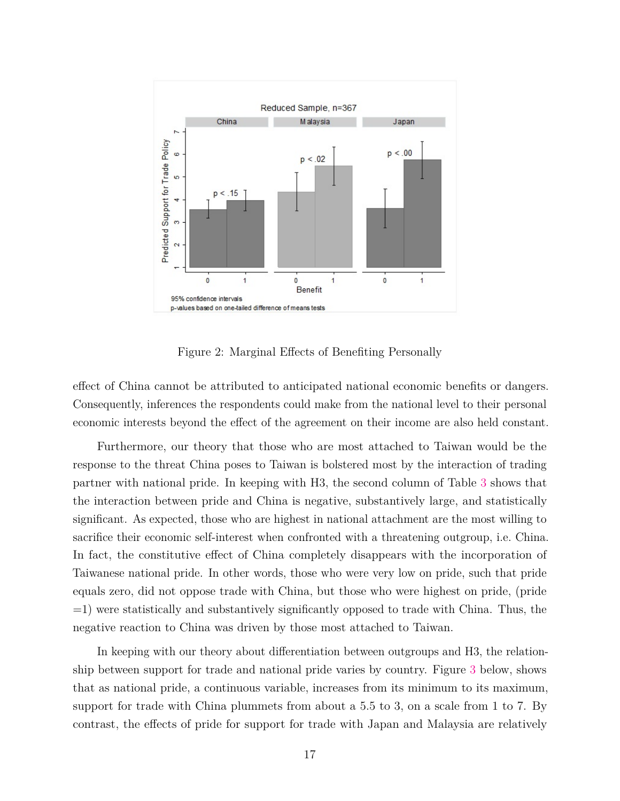

<span id="page-16-0"></span>Figure 2: Marginal Effects of Benefiting Personally

effect of China cannot be attributed to anticipated national economic benefits or dangers. Consequently, inferences the respondents could make from the national level to their personal economic interests beyond the effect of the agreement on their income are also held constant.

Furthermore, our theory that those who are most attached to Taiwan would be the response to the threat China poses to Taiwan is bolstered most by the interaction of trading partner with national pride. In keeping with H3, the second column of Table [3](#page-15-0) shows that the interaction between pride and China is negative, substantively large, and statistically significant. As expected, those who are highest in national attachment are the most willing to sacrifice their economic self-interest when confronted with a threatening outgroup, i.e. China. In fact, the constitutive effect of China completely disappears with the incorporation of Taiwanese national pride. In other words, those who were very low on pride, such that pride equals zero, did not oppose trade with China, but those who were highest on pride, (pride =1) were statistically and substantively significantly opposed to trade with China. Thus, the negative reaction to China was driven by those most attached to Taiwan.

In keeping with our theory about differentiation between outgroups and H3, the relationship between support for trade and national pride varies by country. Figure [3](#page-17-0) below, shows that as national pride, a continuous variable, increases from its minimum to its maximum, support for trade with China plummets from about a 5.5 to 3, on a scale from 1 to 7. By contrast, the effects of pride for support for trade with Japan and Malaysia are relatively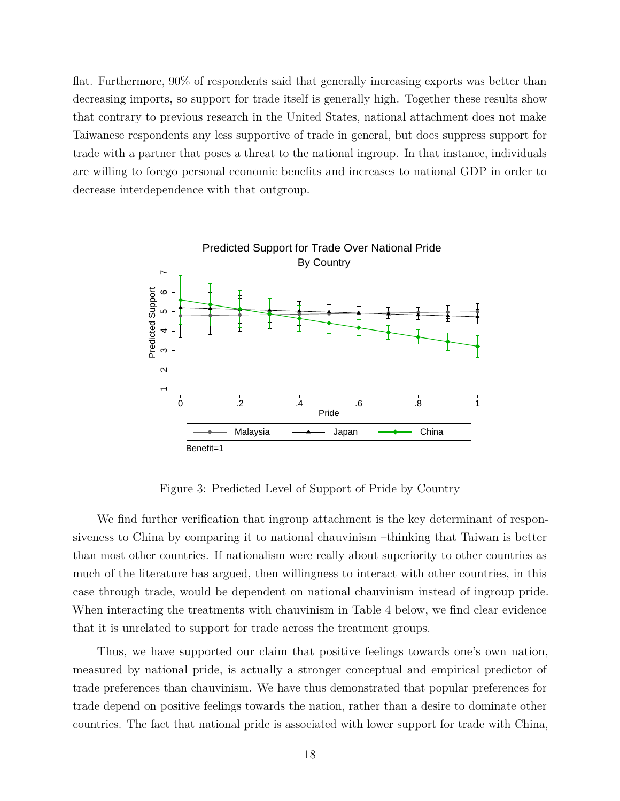flat. Furthermore, 90% of respondents said that generally increasing exports was better than decreasing imports, so support for trade itself is generally high. Together these results show that contrary to previous research in the United States, national attachment does not make Taiwanese respondents any less supportive of trade in general, but does suppress support for trade with a partner that poses a threat to the national ingroup. In that instance, individuals are willing to forego personal economic benefits and increases to national GDP in order to decrease interdependence with that outgroup.



<span id="page-17-0"></span>Figure 3: Predicted Level of Support of Pride by Country

We find further verification that ingroup attachment is the key determinant of responsiveness to China by comparing it to national chauvinism –thinking that Taiwan is better than most other countries. If nationalism were really about superiority to other countries as much of the literature has argued, then willingness to interact with other countries, in this case through trade, would be dependent on national chauvinism instead of ingroup pride. When interacting the treatments with chauvinism in Table 4 below, we find clear evidence that it is unrelated to support for trade across the treatment groups.

Thus, we have supported our claim that positive feelings towards one's own nation, measured by national pride, is actually a stronger conceptual and empirical predictor of trade preferences than chauvinism. We have thus demonstrated that popular preferences for trade depend on positive feelings towards the nation, rather than a desire to dominate other countries. The fact that national pride is associated with lower support for trade with China,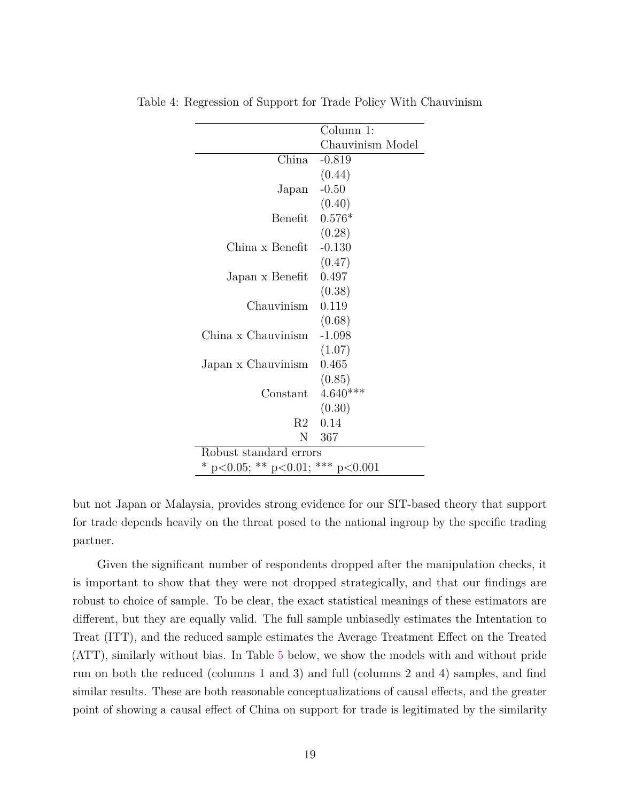|                                  | Column 1:        |  |
|----------------------------------|------------------|--|
|                                  | Chauvinism Model |  |
| China                            | $-0.819$         |  |
|                                  | (0.44)           |  |
| Japan                            | $-0.50$          |  |
|                                  | (0.40)           |  |
| Benefit                          | $0.576*$         |  |
|                                  | (0.28)           |  |
| China x Benefit                  | $-0.130$         |  |
|                                  | (0.47)           |  |
| Japan x Benefit                  | 0.497            |  |
|                                  | (0.38)           |  |
| Chauvinism                       | 0.119            |  |
|                                  | (0.68)           |  |
| China x Chauvinism               | $-1.098$         |  |
|                                  | (1.07)           |  |
| Japan x Chauvinism               | 0.465            |  |
|                                  | (0.85)           |  |
| Constant                         | $4.640***$       |  |
|                                  | (0.30)           |  |
| R2                               | 0.14             |  |
| N                                | 367              |  |
| Robust standard errors           |                  |  |
| * p<0.05; ** p<0.01; *** p<0.001 |                  |  |

Table 4: Regression of Support for Trade Policy With Chauvinism

but not Japan or Malaysia, provides strong evidence for our SIT-based theory that support for trade depends heavily on the threat posed to the national ingroup by the specific trading partner.

Given the significant number of respondents dropped after the manipulation checks, it is important to show that they were not dropped strategically, and that our findings are robust to choice of sample. To be clear, the exact statistical meanings of these estimators are different, but they are equally valid. The full sample unbiasedly estimates the Intentation to Treat (ITT), and the reduced sample estimates the Average Treatment Effect on the Treated (ATT), similarly without bias. In Table [5](#page-19-0) below, we show the models with and without pride run on both the reduced (columns 1 and 3) and full (columns 2 and 4) samples, and find similar results. These are both reasonable conceptualizations of causal effects, and the greater point of showing a causal effect of China on support for trade is legitimated by the similarity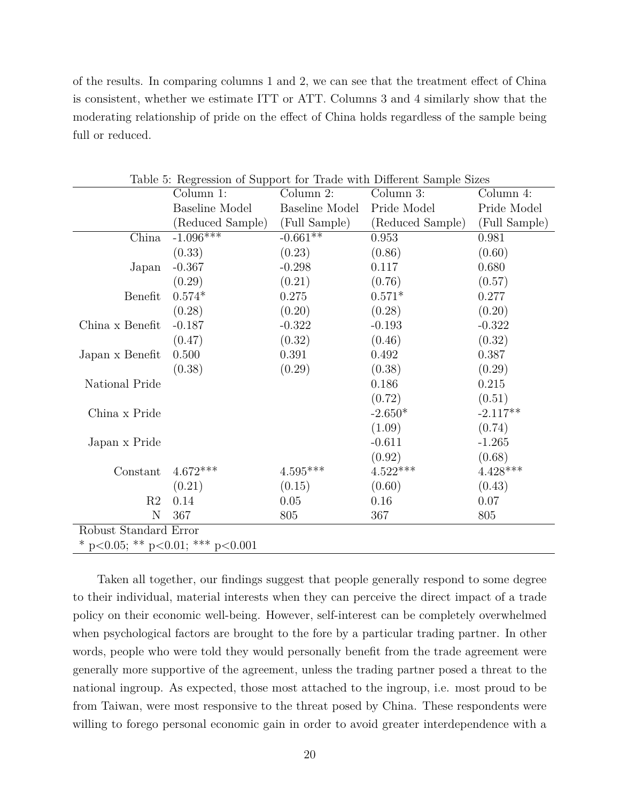of the results. In comparing columns 1 and 2, we can see that the treatment effect of China is consistent, whether we estimate ITT or ATT. Columns 3 and 4 similarly show that the moderating relationship of pride on the effect of China holds regardless of the sample being full or reduced.

| Table 5: Regression of Support for Trade with Different Sample Sizes |                                  |                        |                  |               |
|----------------------------------------------------------------------|----------------------------------|------------------------|------------------|---------------|
|                                                                      | Column 1:                        | Column 2:              | Column 3:        | Column 4:     |
|                                                                      | <b>Baseline Model</b>            | Baseline Model         | Pride Model      | Pride Model   |
|                                                                      | (Reduced Sample)                 | (Full Sample)          | (Reduced Sample) | (Full Sample) |
| China                                                                | $-1.096***$                      | $-0.661**$             | 0.953            | 0.981         |
|                                                                      | (0.33)                           | (0.23)                 | (0.86)           | (0.60)        |
| Japan                                                                | $-0.367$                         | $-0.298$               | 0.117            | 0.680         |
|                                                                      | (0.29)                           | (0.21)                 | (0.76)           | (0.57)        |
| Benefit                                                              | $0.574*$                         | 0.275                  | $0.571*$         | 0.277         |
|                                                                      | (0.28)                           | (0.20)                 | (0.28)           | (0.20)        |
| China x Benefit                                                      | $-0.187$                         | $-0.322$               | $-0.193$         | $-0.322$      |
|                                                                      | (0.47)                           | (0.32)                 | (0.46)           | (0.32)        |
| Japan x Benefit                                                      | 0.500                            | 0.391                  | 0.492            | 0.387         |
|                                                                      | (0.38)                           | (0.29)                 | (0.38)           | (0.29)        |
| National Pride                                                       |                                  |                        | 0.186            | 0.215         |
|                                                                      |                                  |                        | (0.72)           | (0.51)        |
| China x Pride                                                        |                                  |                        | $-2.650*$        | $-2.117**$    |
|                                                                      |                                  |                        | (1.09)           | (0.74)        |
| Japan x Pride                                                        |                                  |                        | $-0.611$         | $-1.265$      |
|                                                                      |                                  |                        | (0.92)           | (0.68)        |
| Constant                                                             | $4.672***$                       | $4.595^{\ast\ast\ast}$ | $4.522***$       | $4.428***$    |
|                                                                      | (0.21)                           | (0.15)                 | (0.60)           | (0.43)        |
| R2                                                                   | 0.14                             | 0.05                   | 0.16             | 0.07          |
| N                                                                    | 367                              | 805                    | 367              | 805           |
| Robust Standard Error                                                |                                  |                        |                  |               |
|                                                                      | * p<0.05; ** p<0.01; *** p<0.001 |                        |                  |               |

<span id="page-19-0"></span>Table 5: Regression of Support for Trade with Different Sample Sizes

Taken all together, our findings suggest that people generally respond to some degree to their individual, material interests when they can perceive the direct impact of a trade policy on their economic well-being. However, self-interest can be completely overwhelmed when psychological factors are brought to the fore by a particular trading partner. In other words, people who were told they would personally benefit from the trade agreement were generally more supportive of the agreement, unless the trading partner posed a threat to the national ingroup. As expected, those most attached to the ingroup, i.e. most proud to be from Taiwan, were most responsive to the threat posed by China. These respondents were willing to forego personal economic gain in order to avoid greater interdependence with a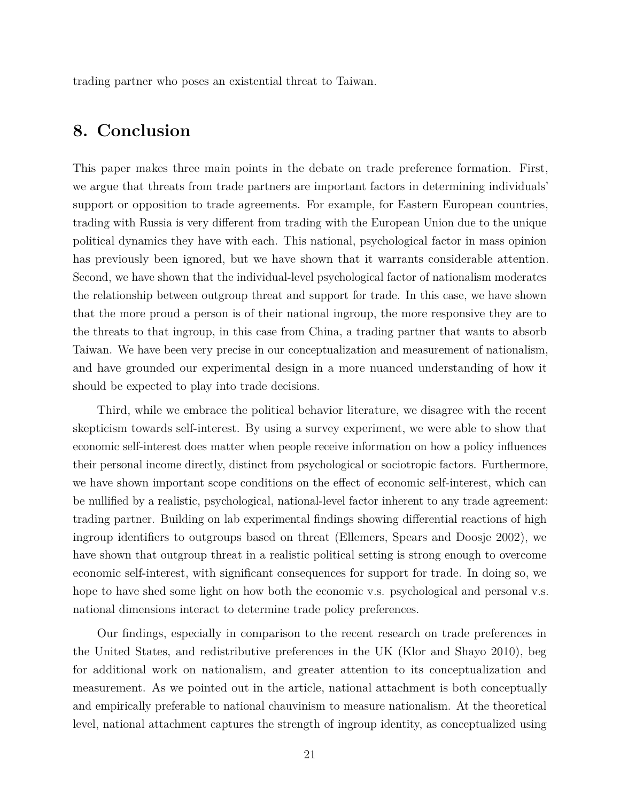trading partner who poses an existential threat to Taiwan.

## **8. Conclusion**

This paper makes three main points in the debate on trade preference formation. First, we argue that threats from trade partners are important factors in determining individuals' support or opposition to trade agreements. For example, for Eastern European countries, trading with Russia is very different from trading with the European Union due to the unique political dynamics they have with each. This national, psychological factor in mass opinion has previously been ignored, but we have shown that it warrants considerable attention. Second, we have shown that the individual-level psychological factor of nationalism moderates the relationship between outgroup threat and support for trade. In this case, we have shown that the more proud a person is of their national ingroup, the more responsive they are to the threats to that ingroup, in this case from China, a trading partner that wants to absorb Taiwan. We have been very precise in our conceptualization and measurement of nationalism, and have grounded our experimental design in a more nuanced understanding of how it should be expected to play into trade decisions.

Third, while we embrace the political behavior literature, we disagree with the recent skepticism towards self-interest. By using a survey experiment, we were able to show that economic self-interest does matter when people receive information on how a policy influences their personal income directly, distinct from psychological or sociotropic factors. Furthermore, we have shown important scope conditions on the effect of economic self-interest, which can be nullified by a realistic, psychological, national-level factor inherent to any trade agreement: trading partner. Building on lab experimental findings showing differential reactions of high ingroup identifiers to outgroups based on threat (Ellemers, Spears and Doosje 2002), we have shown that outgroup threat in a realistic political setting is strong enough to overcome economic self-interest, with significant consequences for support for trade. In doing so, we hope to have shed some light on how both the economic v.s. psychological and personal v.s. national dimensions interact to determine trade policy preferences.

Our findings, especially in comparison to the recent research on trade preferences in the United States, and redistributive preferences in the UK (Klor and Shayo 2010), beg for additional work on nationalism, and greater attention to its conceptualization and measurement. As we pointed out in the article, national attachment is both conceptually and empirically preferable to national chauvinism to measure nationalism. At the theoretical level, national attachment captures the strength of ingroup identity, as conceptualized using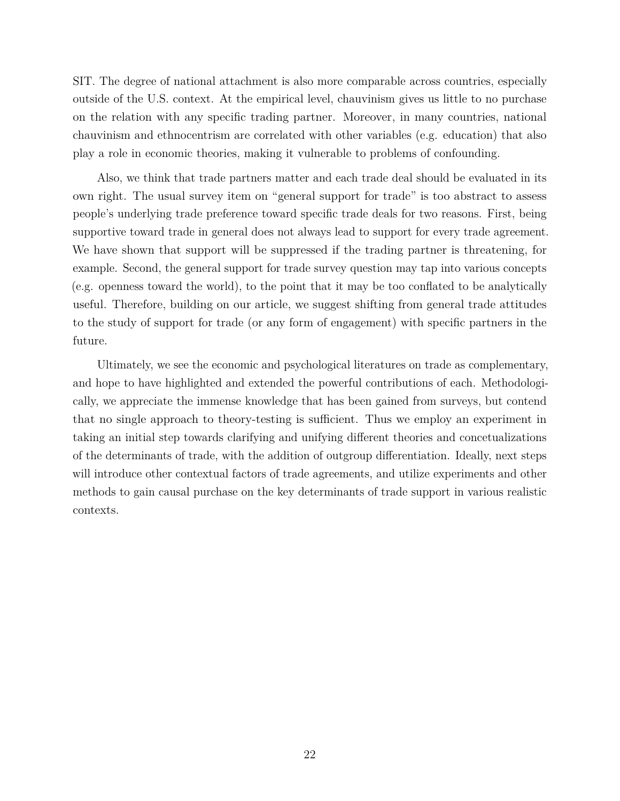SIT. The degree of national attachment is also more comparable across countries, especially outside of the U.S. context. At the empirical level, chauvinism gives us little to no purchase on the relation with any specific trading partner. Moreover, in many countries, national chauvinism and ethnocentrism are correlated with other variables (e.g. education) that also play a role in economic theories, making it vulnerable to problems of confounding.

Also, we think that trade partners matter and each trade deal should be evaluated in its own right. The usual survey item on "general support for trade" is too abstract to assess people's underlying trade preference toward specific trade deals for two reasons. First, being supportive toward trade in general does not always lead to support for every trade agreement. We have shown that support will be suppressed if the trading partner is threatening, for example. Second, the general support for trade survey question may tap into various concepts (e.g. openness toward the world), to the point that it may be too conflated to be analytically useful. Therefore, building on our article, we suggest shifting from general trade attitudes to the study of support for trade (or any form of engagement) with specific partners in the future.

Ultimately, we see the economic and psychological literatures on trade as complementary, and hope to have highlighted and extended the powerful contributions of each. Methodologically, we appreciate the immense knowledge that has been gained from surveys, but contend that no single approach to theory-testing is sufficient. Thus we employ an experiment in taking an initial step towards clarifying and unifying different theories and concetualizations of the determinants of trade, with the addition of outgroup differentiation. Ideally, next steps will introduce other contextual factors of trade agreements, and utilize experiments and other methods to gain causal purchase on the key determinants of trade support in various realistic contexts.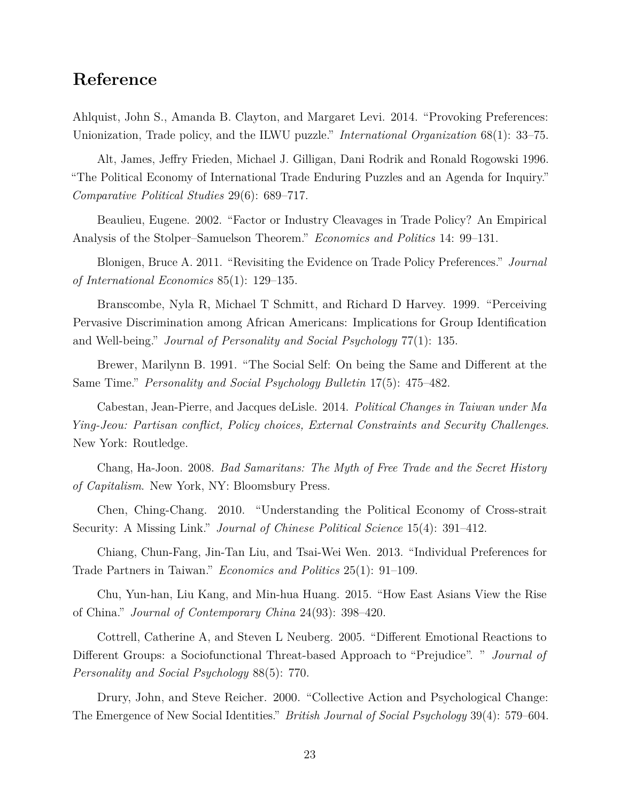## **Reference**

Ahlquist, John S., Amanda B. Clayton, and Margaret Levi. 2014. "Provoking Preferences: Unionization, Trade policy, and the ILWU puzzle." *International Organization* 68(1): 33–75.

Alt, James, Jeffry Frieden, Michael J. Gilligan, Dani Rodrik and Ronald Rogowski 1996. "The Political Economy of International Trade Enduring Puzzles and an Agenda for Inquiry." *Comparative Political Studies* 29(6): 689–717.

Beaulieu, Eugene. 2002. "Factor or Industry Cleavages in Trade Policy? An Empirical Analysis of the Stolper–Samuelson Theorem." *Economics and Politics* 14: 99–131.

Blonigen, Bruce A. 2011. "Revisiting the Evidence on Trade Policy Preferences." *Journal of International Economics* 85(1): 129–135.

Branscombe, Nyla R, Michael T Schmitt, and Richard D Harvey. 1999. "Perceiving Pervasive Discrimination among African Americans: Implications for Group Identification and Well-being." *Journal of Personality and Social Psychology* 77(1): 135.

Brewer, Marilynn B. 1991. "The Social Self: On being the Same and Different at the Same Time." *Personality and Social Psychology Bulletin* 17(5): 475–482.

Cabestan, Jean-Pierre, and Jacques deLisle. 2014. *Political Changes in Taiwan under Ma Ying-Jeou: Partisan conflict, Policy choices, External Constraints and Security Challenges*. New York: Routledge.

Chang, Ha-Joon. 2008. *Bad Samaritans: The Myth of Free Trade and the Secret History of Capitalism*. New York, NY: Bloomsbury Press.

Chen, Ching-Chang. 2010. "Understanding the Political Economy of Cross-strait Security: A Missing Link." *Journal of Chinese Political Science* 15(4): 391–412.

Chiang, Chun-Fang, Jin-Tan Liu, and Tsai-Wei Wen. 2013. "Individual Preferences for Trade Partners in Taiwan." *Economics and Politics* 25(1): 91–109.

Chu, Yun-han, Liu Kang, and Min-hua Huang. 2015. "How East Asians View the Rise of China." *Journal of Contemporary China* 24(93): 398–420.

Cottrell, Catherine A, and Steven L Neuberg. 2005. "Different Emotional Reactions to Different Groups: a Sociofunctional Threat-based Approach to "Prejudice". " *Journal of Personality and Social Psychology* 88(5): 770.

Drury, John, and Steve Reicher. 2000. "Collective Action and Psychological Change: The Emergence of New Social Identities." *British Journal of Social Psychology* 39(4): 579–604.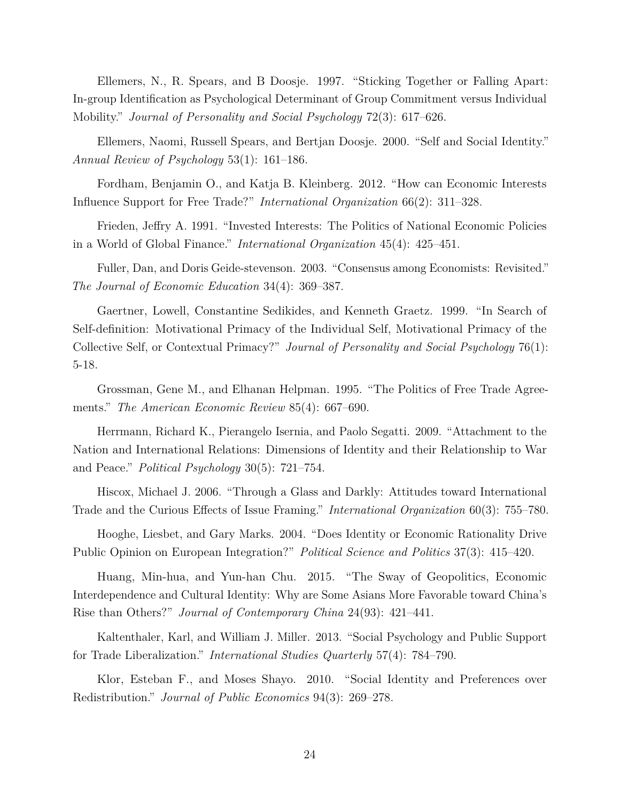Ellemers, N., R. Spears, and B Doosje. 1997. "Sticking Together or Falling Apart: In-group Identification as Psychological Determinant of Group Commitment versus Individual Mobility." *Journal of Personality and Social Psychology* 72(3): 617–626.

Ellemers, Naomi, Russell Spears, and Bertjan Doosje. 2000. "Self and Social Identity." *Annual Review of Psychology* 53(1): 161–186.

Fordham, Benjamin O., and Katja B. Kleinberg. 2012. "How can Economic Interests Influence Support for Free Trade?" *International Organization* 66(2): 311–328.

Frieden, Jeffry A. 1991. "Invested Interests: The Politics of National Economic Policies in a World of Global Finance." *International Organization* 45(4): 425–451.

Fuller, Dan, and Doris Geide-stevenson. 2003. "Consensus among Economists: Revisited." *The Journal of Economic Education* 34(4): 369–387.

Gaertner, Lowell, Constantine Sedikides, and Kenneth Graetz. 1999. "In Search of Self-definition: Motivational Primacy of the Individual Self, Motivational Primacy of the Collective Self, or Contextual Primacy?" *Journal of Personality and Social Psychology* 76(1): 5-18.

Grossman, Gene M., and Elhanan Helpman. 1995. "The Politics of Free Trade Agreements." *The American Economic Review* 85(4): 667–690.

Herrmann, Richard K., Pierangelo Isernia, and Paolo Segatti. 2009. "Attachment to the Nation and International Relations: Dimensions of Identity and their Relationship to War and Peace." *Political Psychology* 30(5): 721–754.

Hiscox, Michael J. 2006. "Through a Glass and Darkly: Attitudes toward International Trade and the Curious Effects of Issue Framing." *International Organization* 60(3): 755–780.

Hooghe, Liesbet, and Gary Marks. 2004. "Does Identity or Economic Rationality Drive Public Opinion on European Integration?" *Political Science and Politics* 37(3): 415–420.

Huang, Min-hua, and Yun-han Chu. 2015. "The Sway of Geopolitics, Economic Interdependence and Cultural Identity: Why are Some Asians More Favorable toward China's Rise than Others?" *Journal of Contemporary China* 24(93): 421–441.

Kaltenthaler, Karl, and William J. Miller. 2013. "Social Psychology and Public Support for Trade Liberalization." *International Studies Quarterly* 57(4): 784–790.

Klor, Esteban F., and Moses Shayo. 2010. "Social Identity and Preferences over Redistribution." *Journal of Public Economics* 94(3): 269–278.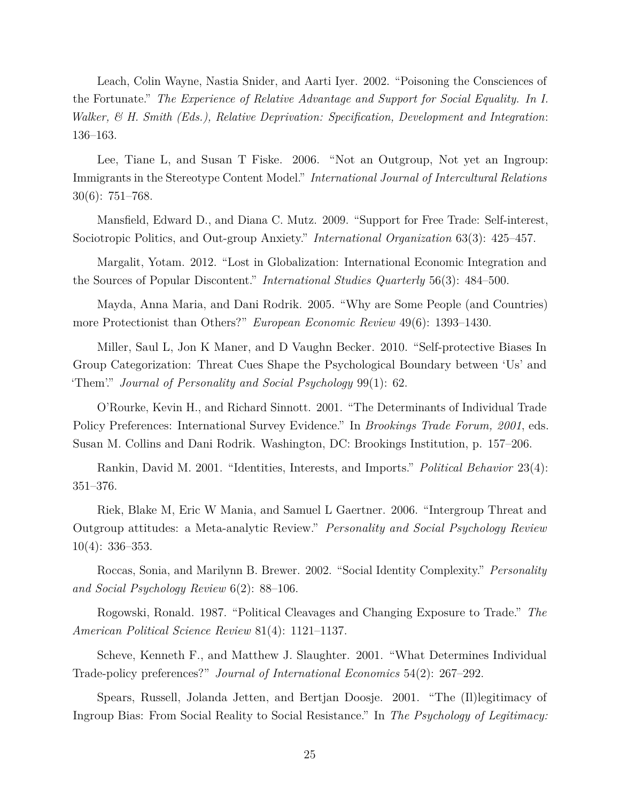Leach, Colin Wayne, Nastia Snider, and Aarti Iyer. 2002. "Poisoning the Consciences of the Fortunate." *The Experience of Relative Advantage and Support for Social Equality. In I. Walker, & H. Smith (Eds.), Relative Deprivation: Specification, Development and Integration*: 136–163.

Lee, Tiane L, and Susan T Fiske. 2006. "Not an Outgroup, Not yet an Ingroup: Immigrants in the Stereotype Content Model." *International Journal of Intercultural Relations* 30(6): 751–768.

Mansfield, Edward D., and Diana C. Mutz. 2009. "Support for Free Trade: Self-interest, Sociotropic Politics, and Out-group Anxiety." *International Organization* 63(3): 425–457.

Margalit, Yotam. 2012. "Lost in Globalization: International Economic Integration and the Sources of Popular Discontent." *International Studies Quarterly* 56(3): 484–500.

Mayda, Anna Maria, and Dani Rodrik. 2005. "Why are Some People (and Countries) more Protectionist than Others?" *European Economic Review* 49(6): 1393–1430.

Miller, Saul L, Jon K Maner, and D Vaughn Becker. 2010. "Self-protective Biases In Group Categorization: Threat Cues Shape the Psychological Boundary between 'Us' and 'Them'." *Journal of Personality and Social Psychology* 99(1): 62.

O'Rourke, Kevin H., and Richard Sinnott. 2001. "The Determinants of Individual Trade Policy Preferences: International Survey Evidence." In *Brookings Trade Forum, 2001*, eds. Susan M. Collins and Dani Rodrik. Washington, DC: Brookings Institution, p. 157–206.

Rankin, David M. 2001. "Identities, Interests, and Imports." *Political Behavior* 23(4): 351–376.

Riek, Blake M, Eric W Mania, and Samuel L Gaertner. 2006. "Intergroup Threat and Outgroup attitudes: a Meta-analytic Review." *Personality and Social Psychology Review* 10(4): 336–353.

Roccas, Sonia, and Marilynn B. Brewer. 2002. "Social Identity Complexity." *Personality and Social Psychology Review* 6(2): 88–106.

Rogowski, Ronald. 1987. "Political Cleavages and Changing Exposure to Trade." *The American Political Science Review* 81(4): 1121–1137.

Scheve, Kenneth F., and Matthew J. Slaughter. 2001. "What Determines Individual Trade-policy preferences?" *Journal of International Economics* 54(2): 267–292.

Spears, Russell, Jolanda Jetten, and Bertjan Doosje. 2001. "The (Il)legitimacy of Ingroup Bias: From Social Reality to Social Resistance." In *The Psychology of Legitimacy:*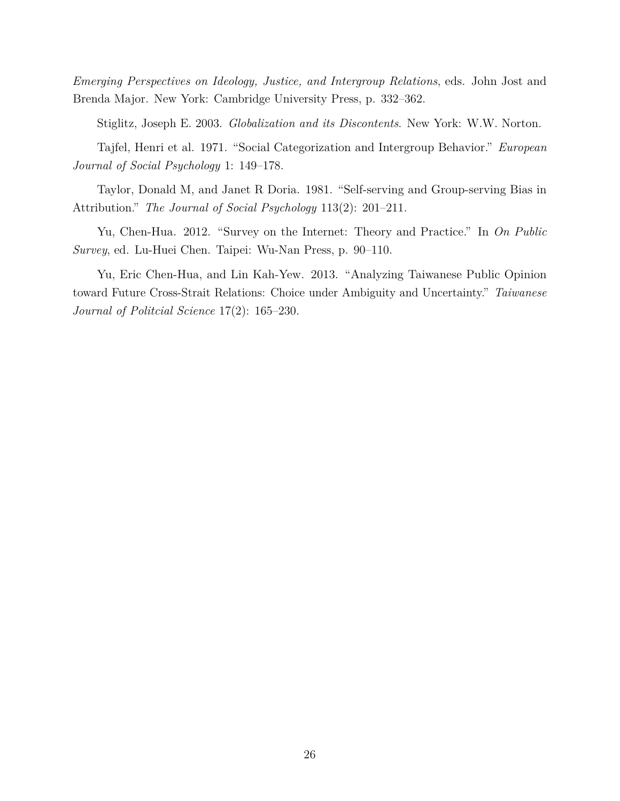*Emerging Perspectives on Ideology, Justice, and Intergroup Relations*, eds. John Jost and Brenda Major. New York: Cambridge University Press, p. 332–362.

Stiglitz, Joseph E. 2003. *Globalization and its Discontents*. New York: W.W. Norton.

Tajfel, Henri et al. 1971. "Social Categorization and Intergroup Behavior." *European Journal of Social Psychology* 1: 149–178.

Taylor, Donald M, and Janet R Doria. 1981. "Self-serving and Group-serving Bias in Attribution." *The Journal of Social Psychology* 113(2): 201–211.

Yu, Chen-Hua. 2012. "Survey on the Internet: Theory and Practice." In *On Public Survey*, ed. Lu-Huei Chen. Taipei: Wu-Nan Press, p. 90–110.

Yu, Eric Chen-Hua, and Lin Kah-Yew. 2013. "Analyzing Taiwanese Public Opinion toward Future Cross-Strait Relations: Choice under Ambiguity and Uncertainty." *Taiwanese Journal of Politcial Science* 17(2): 165–230.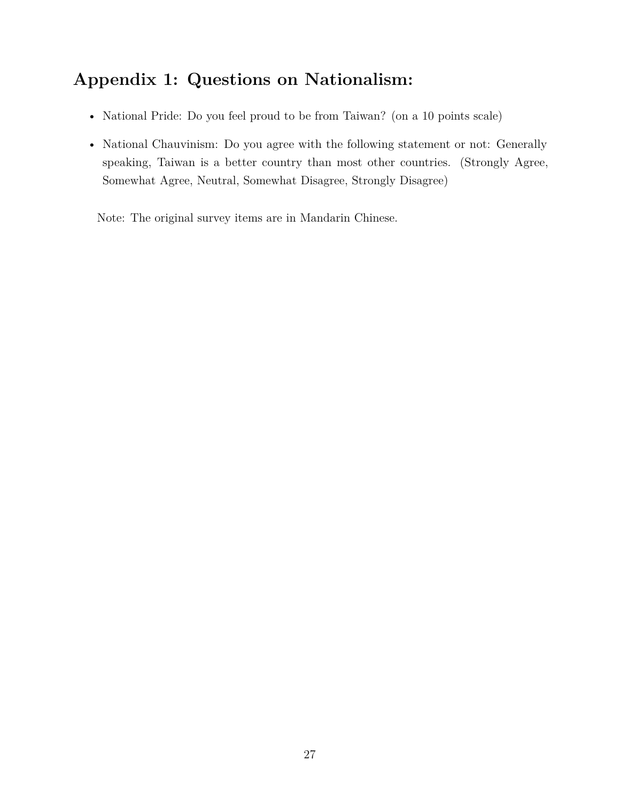# **Appendix 1: Questions on Nationalism:**

- National Pride: Do you feel proud to be from Taiwan? (on a 10 points scale)
- National Chauvinism: Do you agree with the following statement or not: Generally speaking, Taiwan is a better country than most other countries. (Strongly Agree, Somewhat Agree, Neutral, Somewhat Disagree, Strongly Disagree)

Note: The original survey items are in Mandarin Chinese.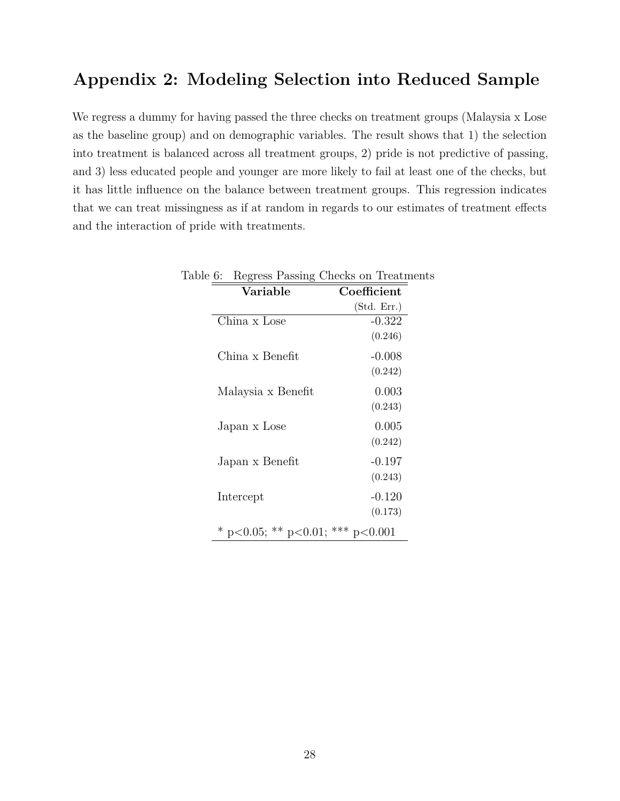## **Appendix 2: Modeling Selection into Reduced Sample**

We regress a dummy for having passed the three checks on treatment groups (Malaysia x Lose as the baseline group) and on demographic variables. The result shows that 1) the selection into treatment is balanced across all treatment groups, 2) pride is not predictive of passing, and 3) less educated people and younger are more likely to fail at least one of the checks, but it has little influence on the balance between treatment groups. This regression indicates that we can treat missingness as if at random in regards to our estimates of treatment effects and the interaction of pride with treatments.

| Table 6: Regress Passing Checks on Treatments |             |
|-----------------------------------------------|-------------|
| Variable                                      | Coefficient |
|                                               | (Std. Err.) |
| China x Lose                                  | $-0.322$    |
|                                               | (0.246)     |
| China x Benefit                               | $-0.008$    |
|                                               | (0.242)     |
| Malaysia x Benefit                            | 0.003       |
|                                               | (0.243)     |
| Japan x Lose                                  | 0.005       |
|                                               | (0.242)     |
| Japan x Benefit                               | $-0.197$    |
|                                               | (0.243)     |
| Intercept                                     | $-0.120$    |
|                                               | (0.173)     |
| * p<0.05; ** p<0.01; *** p<0.001              |             |